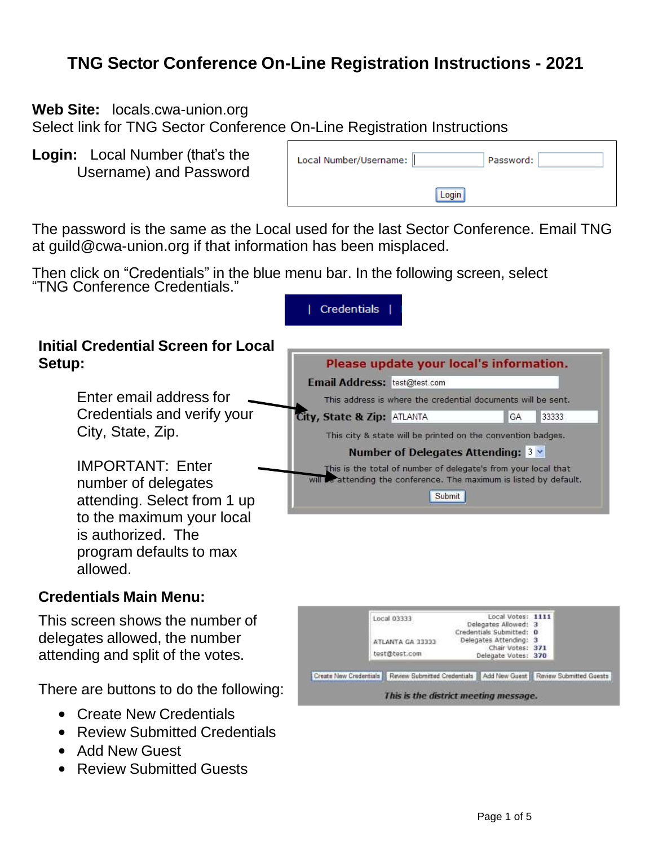# **TNG Sector Conference On-Line Registration Instructions - 2021**

**Web Site:** locals.cwa-union.org

Select link for TNG Sector Conference On-Line Registration Instructions

**Login:** Local Number (that's the Username) and Password

| Local Number/Username: | Password: |  |
|------------------------|-----------|--|
|                        |           |  |

The password is the same as the Local used for the last Sector Conference. Email TNG at guild@cwa-union.org if that information has been misplaced.

Then click on "Credentials" in the blue menu bar. In the following screen, select "TNG Conference Credentials."

|                                                      | Creaentials.                                                        |             |  |  |  |
|------------------------------------------------------|---------------------------------------------------------------------|-------------|--|--|--|
| <b>Initial Credential Screen for Local</b><br>Setup: | Please update your local's information.                             |             |  |  |  |
|                                                      | Email Address: test@test.com                                        |             |  |  |  |
| Enter email address for                              | This address is where the credential documents will be sent.        |             |  |  |  |
| Credentials and verify your                          | City, State & Zip: ATLANTA                                          | 33333<br>GA |  |  |  |
| City, State, Zip.                                    | This city & state will be printed on the convention badges.         |             |  |  |  |
|                                                      | Number of Delegates Attending: $3 \vee$                             |             |  |  |  |
| <b>IMPORTANT: Enter</b>                              | This is the total of number of delegate's from your local that      |             |  |  |  |
| number of delegates                                  | will be attending the conference. The maximum is listed by default. |             |  |  |  |
| attending. Select from 1 up                          | Submit                                                              |             |  |  |  |
| to the maximum your local                            |                                                                     |             |  |  |  |
| is authorized. The                                   |                                                                     |             |  |  |  |
| program defaults to max                              |                                                                     |             |  |  |  |
| allowed.                                             |                                                                     |             |  |  |  |

### **Credentials Main Menu:**

This screen shows the number of delegates allowed, the number attending and split of the votes.

There are buttons to do the following:

- Create New Credentials
- Review Submitted Credentials
- Add New Guest
- Review Submitted Guests

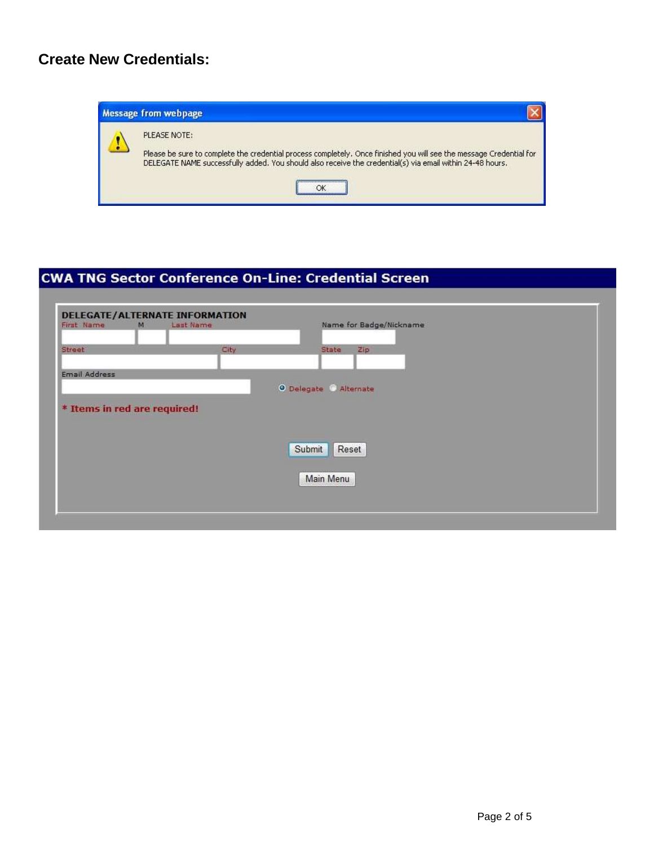### **Create New Credentials:**



### **CWA TNG Sector Conference On-Line: Credential Screen**

| First Name                   | M | Last Name |      |                        |           | Name for Badge/Nickname |  |  |  |
|------------------------------|---|-----------|------|------------------------|-----------|-------------------------|--|--|--|
| Street                       |   |           | City |                        | State     | Zip                     |  |  |  |
| Email Address                |   |           |      |                        |           |                         |  |  |  |
|                              |   |           |      | O Delegate @ Alternate |           |                         |  |  |  |
|                              |   |           |      |                        |           |                         |  |  |  |
|                              |   |           |      |                        |           |                         |  |  |  |
|                              |   |           |      |                        |           |                         |  |  |  |
|                              |   |           |      |                        |           |                         |  |  |  |
|                              |   |           |      | Submit                 | Reset     |                         |  |  |  |
|                              |   |           |      |                        |           |                         |  |  |  |
| * Items in red are required! |   |           |      |                        | Main Menu |                         |  |  |  |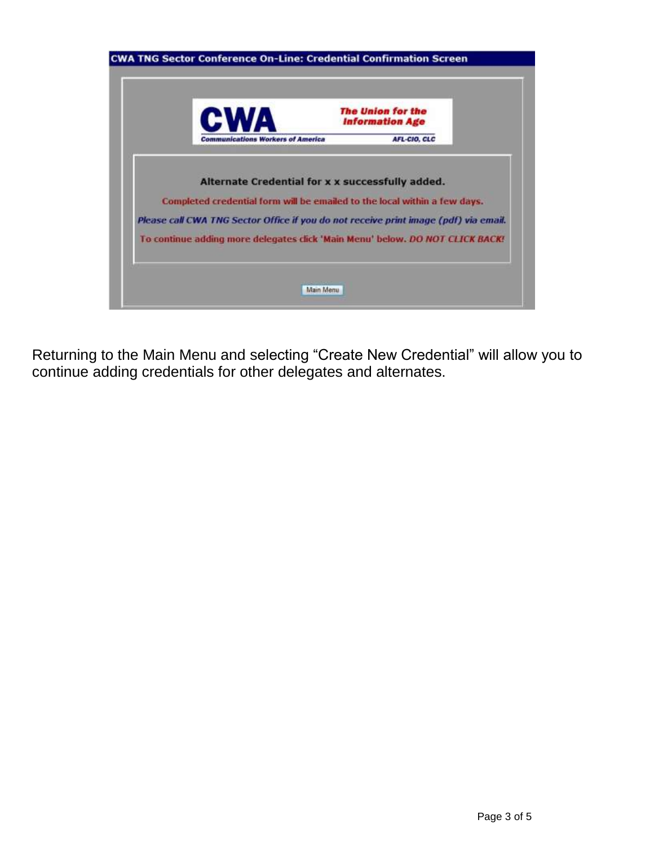| <b>CW</b>                                                                            | <b>The Union for the</b><br><b>Information Age</b> |  |
|--------------------------------------------------------------------------------------|----------------------------------------------------|--|
| <b>Communications Workers of America</b>                                             | AFL-CIO, CLC                                       |  |
|                                                                                      |                                                    |  |
| Alternate Credential for x x successfully added.                                     |                                                    |  |
| Completed credential form will be emailed to the local within a few days.            |                                                    |  |
| Please call CWA TNG Sector Office if you do not receive print image (pdf) via email. |                                                    |  |
|                                                                                      |                                                    |  |

Returning to the Main Menu and selecting "Create New Credential" will allow you to continue adding credentials for other delegates and alternates.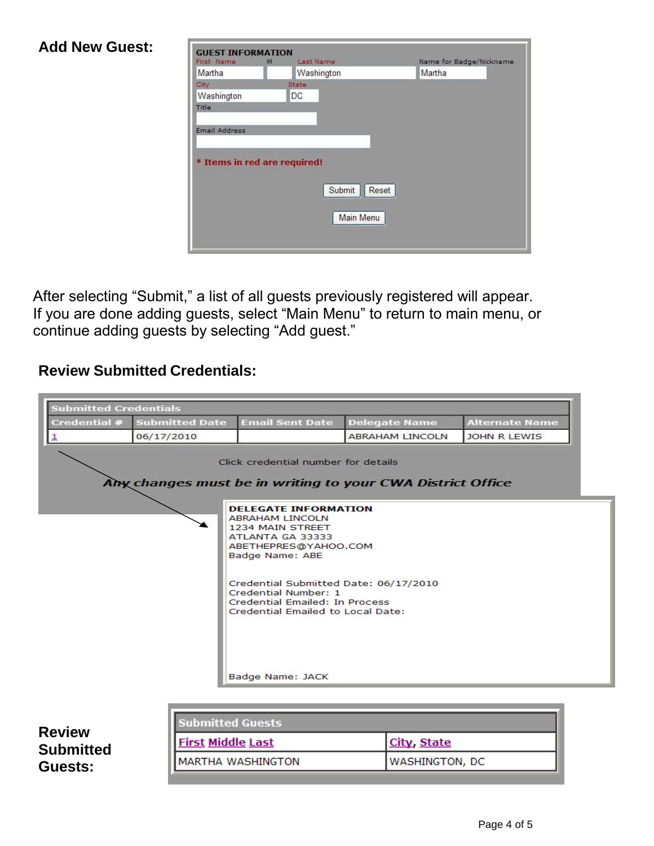#### **Add New Guest: GUEST INFORMATION** Name for Badge/Nickname First Name M Last Name Washington Martha Martha City State: Washington DC Title Email Address \* Items in red are required! Submit | Reset Main Menu

After selecting "Submit," a list of all guests previously registered will appear. If you are done adding guests, select "Main Menu" to return to main menu, or continue adding guests by selecting "Add guest."

## **Review Submitted Credentials:**

| <b>Submitted Credentials</b> |                          |                                                                                                                                                 |                                                            |                       |
|------------------------------|--------------------------|-------------------------------------------------------------------------------------------------------------------------------------------------|------------------------------------------------------------|-----------------------|
| Credential #                 | <b>Submitted Date</b>    | <b>Email Sent Date</b>                                                                                                                          | <b>Delegate Name</b>                                       | <b>Alternate Name</b> |
| $\mathbf{1}$                 | 06/17/2010               |                                                                                                                                                 | <b>ABRAHAM LINCOLN</b>                                     | JOHN R LEWIS          |
|                              |                          | Click credential number for details                                                                                                             | Any changes must be in writing to your CWA District Office |                       |
|                              |                          | <b>DELEGATE INFORMATION</b><br><b>ABRAHAM LINCOLN</b><br>1234 MAIN STREET<br>ATLANTA GA 33333<br>ABETHEPRES@YAHOO.COM<br><b>Badge Name: ABE</b> |                                                            |                       |
|                              |                          | Credential Submitted Date: 06/17/2010<br>Credential Number: 1<br><b>Credential Emailed: In Process</b><br>Credential Emailed to Local Date:     |                                                            |                       |
|                              |                          | Badge Name: JACK                                                                                                                                |                                                            |                       |
|                              | <b>Submitted Guests</b>  |                                                                                                                                                 |                                                            |                       |
| <b>Review</b>                |                          |                                                                                                                                                 |                                                            |                       |
| <b>Submitted</b>             | <b>First Middle Last</b> |                                                                                                                                                 | City, State                                                |                       |
| Guests:                      |                          | <b>MARTHA WASHINGTON</b>                                                                                                                        | WASHINGTON, DC                                             |                       |